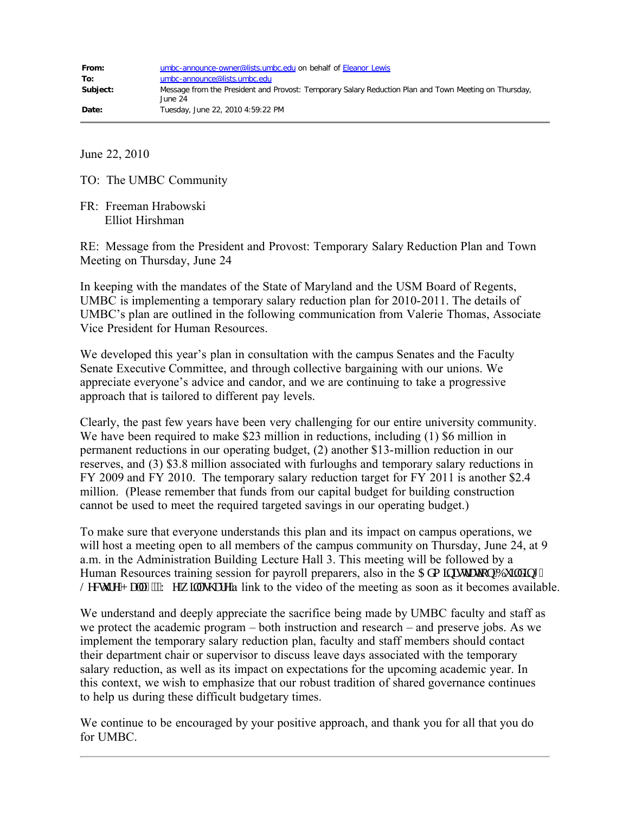June 22, 2010

TO: The UMBC Community

FR: Freeman Hrabowski Elliot Hirshman

RE: Message from the President and Provost: Temporary Salary Reduction Plan and Town Meeting on Thursday, June 24

In keeping with the mandates of the State of Maryland and the USM Board of Regents, UMBC is implementing a temporary salary reduction plan for 2010-2011. The details of UMBC's plan are outlined in the following communication from Valerie Thomas, Associate Vice President for Human Resources.

We developed this year's plan in consultation with the campus Senates and the Faculty Senate Executive Committee, and through collective bargaining with our unions. We appreciate everyone's advice and candor, and we are continuing to take a progressive approach that is tailored to different pay levels.

Clearly, the past few years have been very challenging for our entire university community. We have been required to make \$23 million in reductions, including (1) \$6 million in permanent reductions in our operating budget, (2) another \$13-million reduction in our reserves, and (3) \$3.8 million associated with furloughs and temporary salary reductions in FY 2009 and FY 2010. The temporary salary reduction target for FY 2011 is another \$2.4 million. (Please remember that funds from our capital budget for building construction cannot be used to meet the required targeted savings in our operating budget.)

To make sure that everyone understands this plan and its impact on campus operations, we will host a meeting open to all members of the campus community on Thursday, June 24, at 9 a.m. in the Administration Building Lecture Hall 3. This meeting will be followed by a Human Resources training session for payroll preparers, also in the Cf o lookuntcularly Dwarf lipi Ngewtg'' cm'50" $Y$  g''y kn''uj ctg'a link to the video of the meeting as soon as it becomes available.

We understand and deeply appreciate the sacrifice being made by UMBC faculty and staff as we protect the academic program – both instruction and research – and preserve jobs. As we implement the temporary salary reduction plan, faculty and staff members should contact their department chair or supervisor to discuss leave days associated with the temporary salary reduction, as well as its impact on expectations for the upcoming academic year. In this context, we wish to emphasize that our robust tradition of shared governance continues to help us during these difficult budgetary times.

We continue to be encouraged by your positive approach, and thank you for all that you do for UMBC.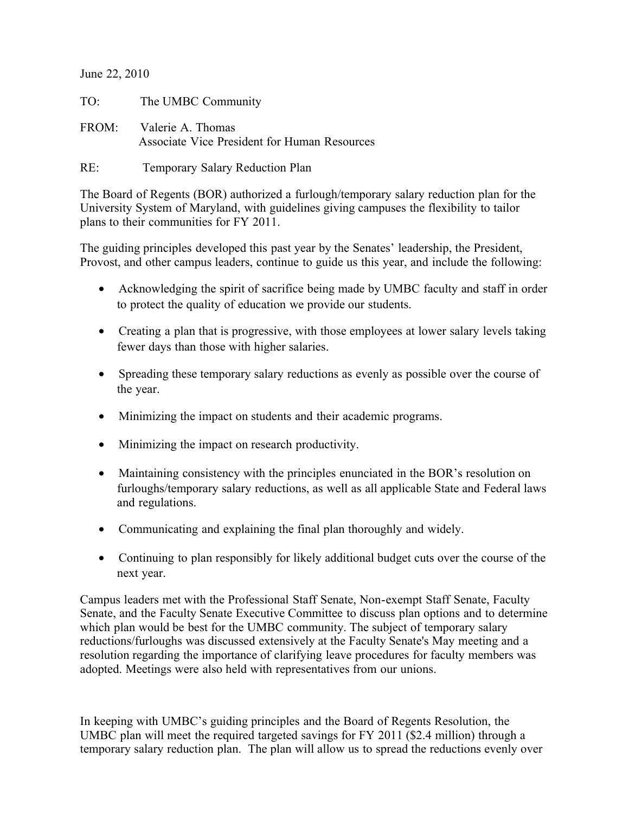June 22, 2010

| TO:   | The UMBC Community                                                |
|-------|-------------------------------------------------------------------|
| FROM: | Valerie A. Thomas<br>Associate Vice President for Human Resources |

RE: Temporary Salary Reduction Plan

The Board of Regents (BOR) authorized a furlough/temporary salary reduction plan for the University System of Maryland, with guidelines giving campuses the flexibility to tailor plans to their communities for FY 2011.

The guiding principles developed this past year by the Senates' leadership, the President, Provost, and other campus leaders, continue to guide us this year, and include the following:

- Acknowledging the spirit of sacrifice being made by UMBC faculty and staff in order to protect the quality of education we provide our students.
- Creating a plan that is progressive, with those employees at lower salary levels taking fewer days than those with higher salaries.
- Spreading these temporary salary reductions as evenly as possible over the course of the year.
- Minimizing the impact on students and their academic programs.
- Minimizing the impact on research productivity.
- Maintaining consistency with the principles enunciated in the BOR's resolution on furloughs/temporary salary reductions, as well as all applicable State and Federal laws and regulations.
- Communicating and explaining the final plan thoroughly and widely.
- Continuing to plan responsibly for likely additional budget cuts over the course of the next year.

Campus leaders met with the Professional Staff Senate, Non-exempt Staff Senate, Faculty Senate, and the Faculty Senate Executive Committee to discuss plan options and to determine which plan would be best for the UMBC community. The subject of temporary salary reductions/furloughs was discussed extensively at the Faculty Senate's May meeting and a resolution regarding the importance of clarifying leave procedures for faculty members was adopted. Meetings were also held with representatives from our unions.

In keeping with UMBC's guiding principles and the Board of Regents Resolution, the UMBC plan will meet the required targeted savings for FY 2011 (\$2.4 million) through a temporary salary reduction plan. The plan will allow us to spread the reductions evenly over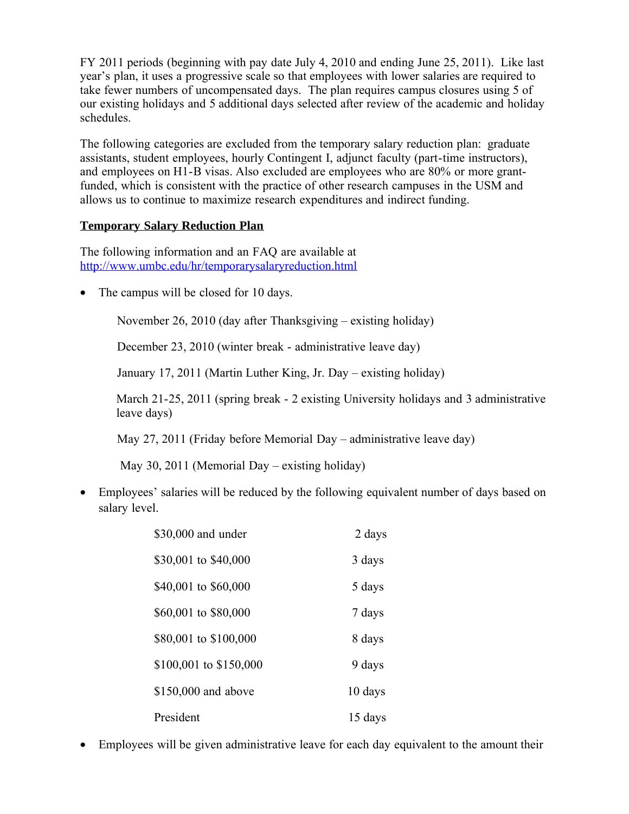FY 2011 periods (beginning with pay date July 4, 2010 and ending June 25, 2011). Like last year's plan, it uses a progressive scale so that employees with lower salaries are required to take fewer numbers of uncompensated days. The plan requires campus closures using 5 of our existing holidays and 5 additional days selected after review of the academic and holiday schedules.

The following categories are excluded from the temporary salary reduction plan: graduate assistants, student employees, hourly Contingent I, adjunct faculty (part-time instructors), and employees on H1-B visas. Also excluded are employees who are 80% or more grantfunded, which is consistent with the practice of other research campuses in the USM and allows us to continue to maximize research expenditures and indirect funding.

## **Temporary Salary Reduction Plan**

The following information and an FAQ are available at <http://www.umbc.edu/hr/temporarysalaryreduction.html>

• The campus will be closed for 10 days.

November 26, 2010 (day after Thanksgiving – existing holiday)

December 23, 2010 (winter break - administrative leave day)

January 17, 2011 (Martin Luther King, Jr. Day – existing holiday)

March 21-25, 2011 (spring break - 2 existing University holidays and 3 administrative leave days)

May 27, 2011 (Friday before Memorial Day – administrative leave day)

May 30, 2011 (Memorial Day – existing holiday)

• Employees' salaries will be reduced by the following equivalent number of days based on salary level.

| \$30,000 and under     | 2 days  |
|------------------------|---------|
| \$30,001 to \$40,000   | 3 days  |
| \$40,001 to \$60,000   | 5 days  |
| \$60,001 to \$80,000   | 7 days  |
| \$80,001 to \$100,000  | 8 days  |
| \$100,001 to \$150,000 | 9 days  |
| \$150,000 and above    | 10 days |
| President              | 15 days |

• Employees will be given administrative leave for each day equivalent to the amount their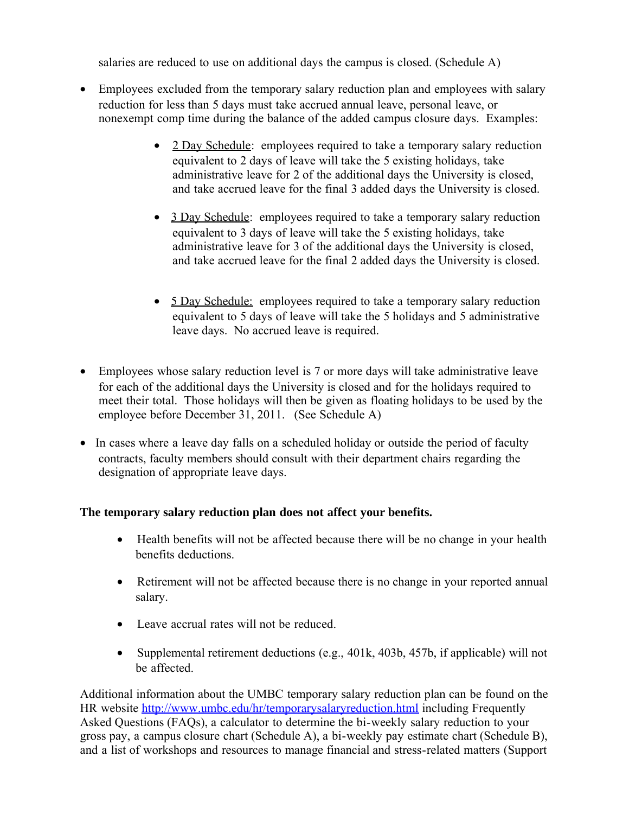salaries are reduced to use on additional days the campus is closed. (Schedule A)

- Employees excluded from the temporary salary reduction plan and employees with salary reduction for less than 5 days must take accrued annual leave, personal leave, or nonexempt comp time during the balance of the added campus closure days. Examples:
	- 2 Day Schedule: employees required to take a temporary salary reduction equivalent to 2 days of leave will take the 5 existing holidays, take administrative leave for 2 of the additional days the University is closed, and take accrued leave for the final 3 added days the University is closed.
	- 3 Day Schedule: employees required to take a temporary salary reduction equivalent to 3 days of leave will take the 5 existing holidays, take administrative leave for 3 of the additional days the University is closed, and take accrued leave for the final 2 added days the University is closed.
	- 5 Day Schedule: employees required to take a temporary salary reduction equivalent to 5 days of leave will take the 5 holidays and 5 administrative leave days. No accrued leave is required.
- Employees whose salary reduction level is 7 or more days will take administrative leave for each of the additional days the University is closed and for the holidays required to meet their total. Those holidays will then be given as floating holidays to be used by the employee before December 31, 2011. (See Schedule A)
- In cases where a leave day falls on a scheduled holiday or outside the period of faculty contracts, faculty members should consult with their department chairs regarding the designation of appropriate leave days.

## **The temporary salary reduction plan does not affect your benefits.**

- Health benefits will not be affected because there will be no change in your health benefits deductions.
- Retirement will not be affected because there is no change in your reported annual salary.
- Leave accrual rates will not be reduced
- Supplemental retirement deductions (e.g.,  $401k$ ,  $403b$ ,  $457b$ , if applicable) will not be affected.

Additional information about the UMBC temporary salary reduction plan can be found on the HR website <http://www.umbc.edu/hr/temporarysalaryreduction.html> including Frequently Asked Questions (FAQs), a calculator to determine the bi-weekly salary reduction to your gross pay, a campus closure chart (Schedule A), a bi-weekly pay estimate chart (Schedule B), and a list of workshops and resources to manage financial and stress-related matters (Support